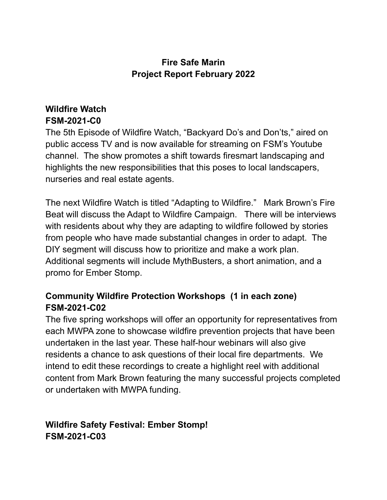#### **Fire Safe Marin Project Report February 2022**

## **Wildfire Watch FSM-2021-C0**

The 5th Episode of Wildfire Watch, "Backyard Do's and Don'ts," aired on public access TV and is now available for streaming on FSM's Youtube channel. The show promotes a shift towards firesmart landscaping and highlights the new responsibilities that this poses to local landscapers, nurseries and real estate agents.

The next Wildfire Watch is titled "Adapting to Wildfire." Mark Brown's Fire Beat will discuss the Adapt to Wildfire Campaign. There will be interviews with residents about why they are adapting to wildfire followed by stories from people who have made substantial changes in order to adapt. The DIY segment will discuss how to prioritize and make a work plan. Additional segments will include MythBusters, a short animation, and a promo for Ember Stomp.

#### **Community Wildfire Protection Workshops (1 in each zone) FSM-2021-C02**

The five spring workshops will offer an opportunity for representatives from each MWPA zone to showcase wildfire prevention projects that have been undertaken in the last year. These half-hour webinars will also give residents a chance to ask questions of their local fire departments. We intend to edit these recordings to create a highlight reel with additional content from Mark Brown featuring the many successful projects completed or undertaken with MWPA funding.

**Wildfire Safety Festival: Ember Stomp! FSM-2021-C03**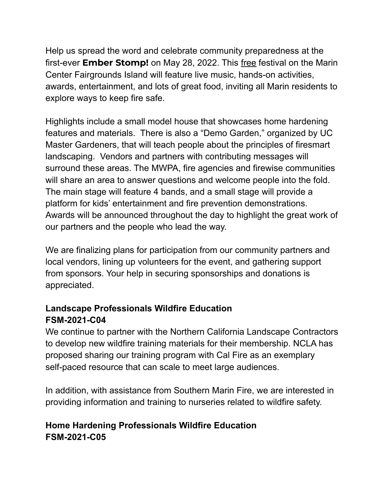Help us spread the word and celebrate community preparedness at the first-ever **Ember Stomp!** on May 28, 2022. This free festival on the Marin Center Fairgrounds Island will feature live music, hands-on activities, awards, entertainment, and lots of great food, inviting all Marin residents to explore ways to keep fire safe.

Highlights include a small model house that showcases home hardening features and materials. There is also a "Demo Garden," organized by UC Master Gardeners, that will teach people about the principles of firesmart landscaping. Vendors and partners with contributing messages will surround these areas. The MWPA, fire agencies and firewise communities will share an area to answer questions and welcome people into the fold. The main stage will feature 4 bands, and a small stage will provide a platform for kids' entertainment and fire prevention demonstrations. Awards will be announced throughout the day to highlight the great work of our partners and the people who lead the way.

We are finalizing plans for participation from our community partners and local vendors, lining up volunteers for the event, and gathering support from sponsors. Your help in securing sponsorships and donations is appreciated.

## **Landscape Professionals Wildfire Education FSM-2021-C04**

We continue to partner with the Northern California Landscape Contractors to develop new wildfire training materials for their membership. NCLA has proposed sharing our training program with Cal Fire as an exemplary self-paced resource that can scale to meet large audiences.

In addition, with assistance from Southern Marin Fire, we are interested in providing information and training to nurseries related to wildfire safety.

## **Home Hardening Professionals Wildfire Education FSM-2021-C05**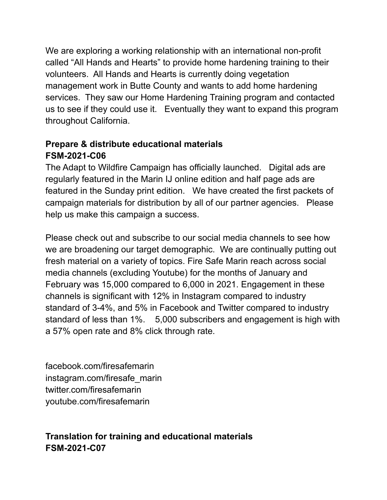We are exploring a working relationship with an international non-profit called "All Hands and Hearts" to provide home hardening training to their volunteers. All Hands and Hearts is currently doing vegetation management work in Butte County and wants to add home hardening services. They saw our Home Hardening Training program and contacted us to see if they could use it. Eventually they want to expand this program throughout California.

#### **Prepare & distribute educational materials FSM-2021-C06**

The Adapt to Wildfire Campaign has officially launched. Digital ads are regularly featured in the Marin IJ online edition and half page ads are featured in the Sunday print edition. We have created the first packets of campaign materials for distribution by all of our partner agencies. Please help us make this campaign a success.

Please check out and subscribe to our social media channels to see how we are broadening our target demographic. We are continually putting out fresh material on a variety of topics. Fire Safe Marin reach across social media channels (excluding Youtube) for the months of January and February was 15,000 compared to 6,000 in 2021. Engagement in these channels is significant with 12% in Instagram compared to industry standard of 3-4%, and 5% in Facebook and Twitter compared to industry standard of less than 1%. 5,000 subscribers and engagement is high with a 57% open rate and 8% click through rate.

facebook.com/firesafemarin instagram.com/firesafe\_marin twitter.com/firesafemarin youtube.com/firesafemarin

# **Translation for training and educational materials FSM-2021-C07**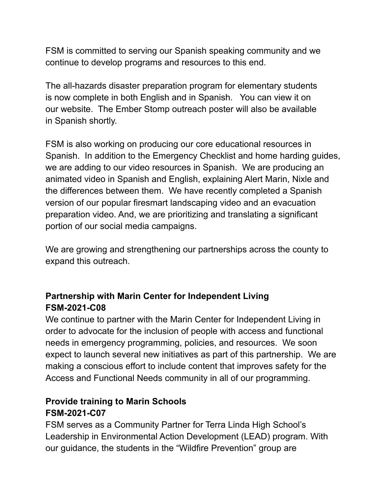FSM is committed to serving our Spanish speaking community and we continue to develop programs and resources to this end.

The all-hazards disaster preparation program for elementary students is now complete in both English and in Spanish. You can view it on our website. The Ember Stomp outreach poster will also be available in Spanish shortly.

FSM is also working on producing our core educational resources in Spanish. In addition to the Emergency Checklist and home harding guides, we are adding to our video resources in Spanish. We are producing an animated video in Spanish and English, explaining Alert Marin, Nixle and the differences between them. We have recently completed a Spanish version of our popular firesmart landscaping video and an evacuation preparation video. And, we are prioritizing and translating a significant portion of our social media campaigns.

We are growing and strengthening our partnerships across the county to expand this outreach.

# **Partnership with Marin Center for Independent Living FSM-2021-C08**

We continue to partner with the Marin Center for Independent Living in order to advocate for the inclusion of people with access and functional needs in emergency programming, policies, and resources. We soon expect to launch several new initiatives as part of this partnership. We are making a conscious effort to include content that improves safety for the Access and Functional Needs community in all of our programming.

#### **Provide training to Marin Schools FSM-2021-C07**

FSM serves as a Community Partner for Terra Linda High School's Leadership in Environmental Action Development (LEAD) program. With our guidance, the students in the "Wildfire Prevention" group are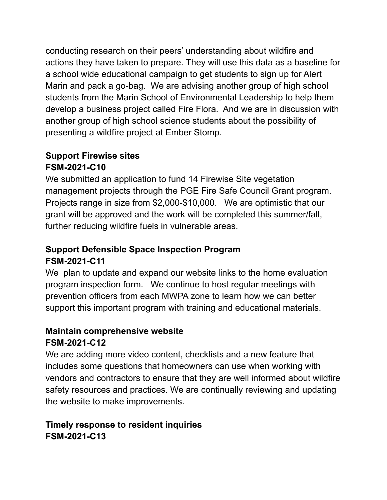conducting research on their peers' understanding about wildfire and actions they have taken to prepare. They will use this data as a baseline for a school wide educational campaign to get students to sign up for Alert Marin and pack a go-bag. We are advising another group of high school students from the Marin School of Environmental Leadership to help them develop a business project called Fire Flora. And we are in discussion with another group of high school science students about the possibility of presenting a wildfire project at Ember Stomp.

## **Support Firewise sites FSM-2021-C10**

We submitted an application to fund 14 Firewise Site vegetation management projects through the PGE Fire Safe Council Grant program. Projects range in size from \$2,000-\$10,000. We are optimistic that our grant will be approved and the work will be completed this summer/fall, further reducing wildfire fuels in vulnerable areas.

# **Support Defensible Space Inspection Program FSM-2021-C11**

We plan to update and expand our website links to the home evaluation program inspection form. We continue to host regular meetings with prevention officers from each MWPA zone to learn how we can better support this important program with training and educational materials.

# **Maintain comprehensive website FSM-2021-C12**

We are adding more video content, checklists and a new feature that includes some questions that homeowners can use when working with vendors and contractors to ensure that they are well informed about wildfire safety resources and practices. We are continually reviewing and updating the website to make improvements.

# **Timely response to resident inquiries FSM-2021-C13**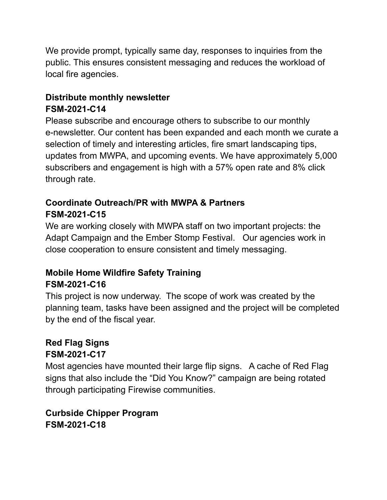We provide prompt, typically same day, responses to inquiries from the public. This ensures consistent messaging and reduces the workload of local fire agencies.

# **Distribute monthly newsletter FSM-2021-C14**

Please subscribe and encourage others to subscribe to our monthly e-newsletter. Our content has been expanded and each month we curate a selection of timely and interesting articles, fire smart landscaping tips, updates from MWPA, and upcoming events. We have approximately 5,000 subscribers and engagement is high with a 57% open rate and 8% click through rate.

## **Coordinate Outreach/PR with MWPA & Partners FSM-2021-C15**

We are working closely with MWPA staff on two important projects: the Adapt Campaign and the Ember Stomp Festival. Our agencies work in close cooperation to ensure consistent and timely messaging.

#### **Mobile Home Wildfire Safety Training FSM-2021-C16**

This project is now underway. The scope of work was created by the planning team, tasks have been assigned and the project will be completed by the end of the fiscal year.

## **Red Flag Signs FSM-2021-C17**

Most agencies have mounted their large flip signs. A cache of Red Flag signs that also include the "Did You Know?" campaign are being rotated through participating Firewise communities.

**Curbside Chipper Program FSM-2021-C18**